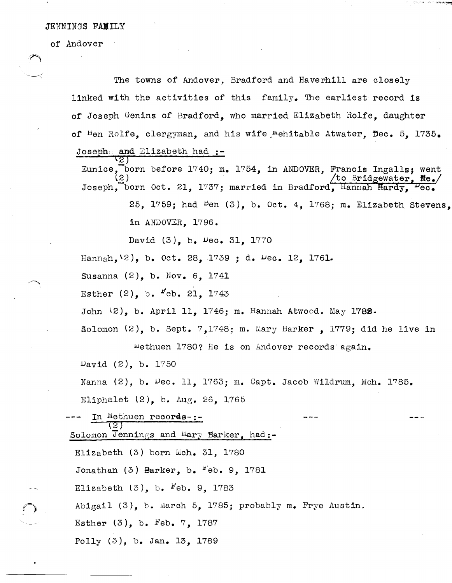## JENNINGS FAMILY

of Andover

 $\begin{array}{c} \begin{array}{c} \begin{array}{c} \end{array} \end{array}$ 

The towns of Andover, Bradford and Haverhill are closely linked with the activities of this family. The earliest record Is of Joseph Genins of Bradford, who married Elizabeth Rolfe, daughter of Ben Rolfe, clergyman, and his wife mehitable Atwater, Dec. 5, 1735. Joseph, and Elizabeth had :- $\overline{z}$  )

**Service Street Committee Project** 

Eunice, born before 1740; m. 1754, in ANDOVER, Francis Ingalls; went *to Bridgewater* Joseph, born Oct. 21, 1737; married in Bradford, Hannah Hardy,  $\overline{\text{Vec}}$ . (2 ) 25, 1759; had  $Pem(3)$ , b. Oct. 4, 1768; m. Elizabeth Stevens, in A1IDOVER, 1796.

David (3), b. vec. 31, 1770

Hannah,\2), b. Oct. 28, 1739 ; d. vec. 12, 1761.

Susanna (2), b. Nov. 6, 1741

 $Esther (2)$ , b.  $Feb. 21$ , 1743

John (2), b. April 11, 1746; m. Hannah Atwood. May 1782.

Solomon  $(2)$ , b. Sept. 7,1748; m. Mary Barker, 1779; did he live in

methuen 1780? He is on Andover records again.

 $Day1d$   $(2)$ , b. 1750

Nanna (2), b. Vec. 11, 1763; m. Capt. Jacob Wildrum, Mch. 1785.

Eliphalet (2), b. Aug. 26, 1765

In Methuen records-:-(2 $\mathcal T$ Solomon Jennings and Mary Barker, had:-Elizabeth  $(3)$  born Mch. 31, 1780 Jonathan  $(3)$  Barker, b.  $Feb. 9$ , 1781 Elizabeth  $(3)$ , b.  $Feb. 9$ , 1783 Abigail (3), b. March 5, 1785; probably m. Frye Austin. Esther  $(3)$ , b. Feb. 7, 1787 Polly (3), b. Jan. 13, 1789